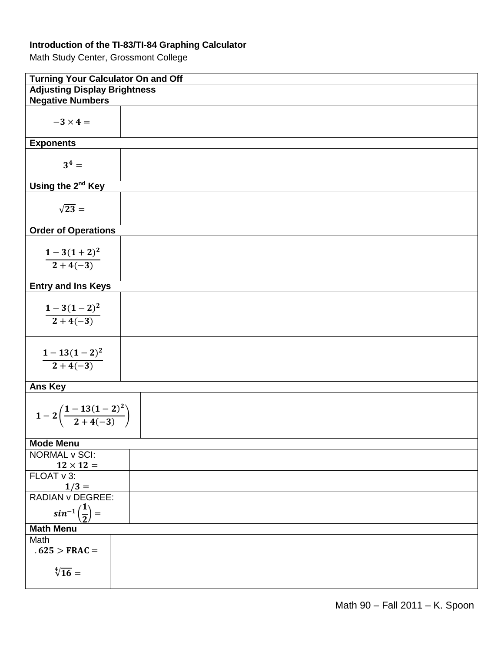## **Introduction of the TI-83/TI-84 Graphing Calculator**

Math Study Center, Grossmont College

| <b>Turning Your Calculator On and Off</b>     |  |  |  |
|-----------------------------------------------|--|--|--|
| <b>Adjusting Display Brightness</b>           |  |  |  |
| <b>Negative Numbers</b>                       |  |  |  |
| $-3 \times 4 =$                               |  |  |  |
| <b>Exponents</b>                              |  |  |  |
| $3^4 =$                                       |  |  |  |
| Using the 2 <sup>nd</sup> Key                 |  |  |  |
| $\sqrt{23}$ =                                 |  |  |  |
| <b>Order of Operations</b>                    |  |  |  |
| $\frac{1-3(1+2)^2}{2+4(-3)}$                  |  |  |  |
| <b>Entry and Ins Keys</b>                     |  |  |  |
| $\frac{1-3(1-2)^2}{2+4(-3)}$                  |  |  |  |
| $\frac{1-13(1-2)^2}{2+4(-3)}$                 |  |  |  |
| <b>Ans Key</b>                                |  |  |  |
| $1-2\left(\frac{1-13(1-2)^2}{2+4(-3)}\right)$ |  |  |  |
| <b>Mode Menu</b>                              |  |  |  |
| <b>NORMAL v SCI:</b>                          |  |  |  |
| $12 \times 12 =$                              |  |  |  |
| FLOAT v 3:<br>$1/3 =$                         |  |  |  |
| <b>RADIAN v DEGREE:</b>                       |  |  |  |
| $sin^{-1}\left(\frac{1}{2}\right) =$          |  |  |  |
| <b>Math Menu</b>                              |  |  |  |
| Math<br>$.625 > FRAC =$                       |  |  |  |
| $\sqrt[4]{16}$ =                              |  |  |  |